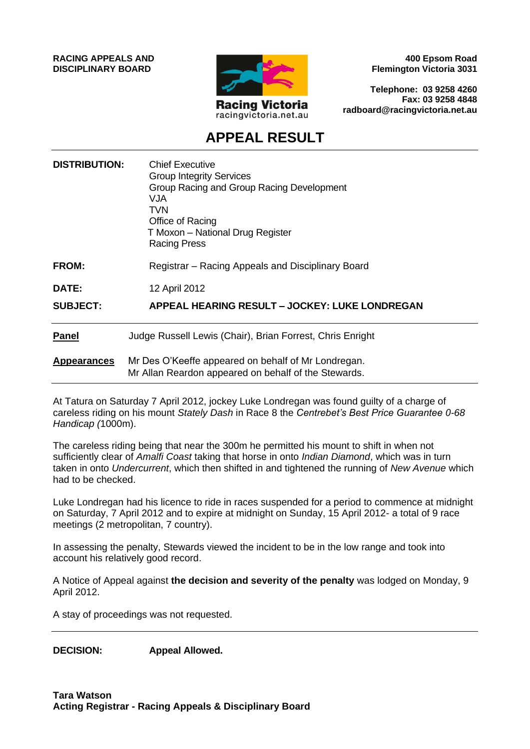**RACING APPEALS AND DISCIPLINARY BOARD**



**400 Epsom Road Flemington Victoria 3031**

**Telephone: 03 9258 4260 Fax: 03 9258 4848 radboard@racingvictoria.net.au**

# **APPEAL RESULT**

| <b>DISTRIBUTION:</b> | <b>Chief Executive</b><br><b>Group Integrity Services</b><br>Group Racing and Group Racing Development<br>VJA.<br><b>TVN</b><br>Office of Racing<br>T Moxon - National Drug Register<br><b>Racing Press</b> |
|----------------------|-------------------------------------------------------------------------------------------------------------------------------------------------------------------------------------------------------------|
| <b>FROM:</b>         | Registrar – Racing Appeals and Disciplinary Board                                                                                                                                                           |
| <b>DATE:</b>         | 12 April 2012                                                                                                                                                                                               |
| <b>SUBJECT:</b>      | APPEAL HEARING RESULT - JOCKEY: LUKE LONDREGAN                                                                                                                                                              |
| <b>Panel</b>         | Judge Russell Lewis (Chair), Brian Forrest, Chris Enright                                                                                                                                                   |
| <b>Appearances</b>   | Mr Des O'Keeffe appeared on behalf of Mr Londregan.<br>Mr Allan Reardon appeared on behalf of the Stewards.                                                                                                 |

At Tatura on Saturday 7 April 2012, jockey Luke Londregan was found guilty of a charge of careless riding on his mount *Stately Dash* in Race 8 the *Centrebet's Best Price Guarantee 0-68 Handicap (*1000m).

The careless riding being that near the 300m he permitted his mount to shift in when not sufficiently clear of *Amalfi Coast* taking that horse in onto *Indian Diamond*, which was in turn taken in onto *Undercurrent*, which then shifted in and tightened the running of *New Avenue* which had to be checked.

Luke Londregan had his licence to ride in races suspended for a period to commence at midnight on Saturday, 7 April 2012 and to expire at midnight on Sunday, 15 April 2012- a total of 9 race meetings (2 metropolitan, 7 country).

In assessing the penalty, Stewards viewed the incident to be in the low range and took into account his relatively good record.

A Notice of Appeal against **the decision and severity of the penalty** was lodged on Monday, 9 April 2012.

A stay of proceedings was not requested.

**DECISION: Appeal Allowed.**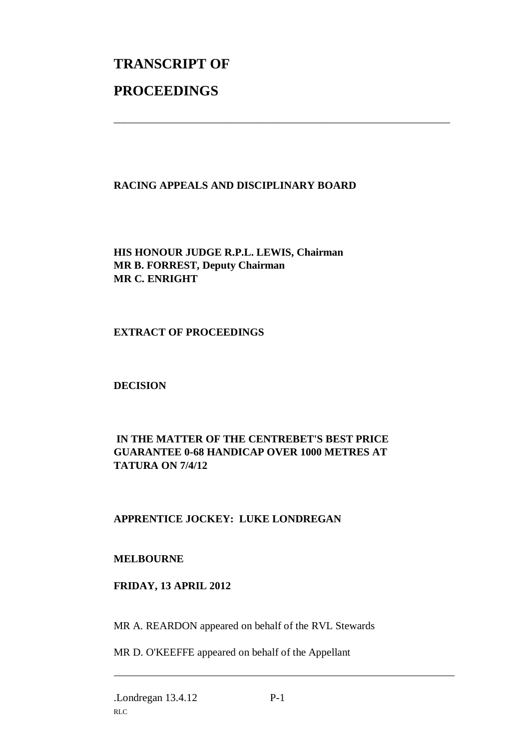# **TRANSCRIPT OF PROCEEDINGS**

### **RACING APPEALS AND DISCIPLINARY BOARD**

\_\_\_\_\_\_\_\_\_\_\_\_\_\_\_\_\_\_\_\_\_\_\_\_\_\_\_\_\_\_\_\_\_\_\_\_\_\_\_\_\_\_\_\_\_\_\_\_\_\_\_\_\_\_\_\_\_\_\_\_\_\_\_

**HIS HONOUR JUDGE R.P.L. LEWIS, Chairman MR B. FORREST, Deputy Chairman MR C. ENRIGHT**

**EXTRACT OF PROCEEDINGS**

**DECISION**

## **IN THE MATTER OF THE CENTREBET'S BEST PRICE GUARANTEE 0-68 HANDICAP OVER 1000 METRES AT TATURA ON 7/4/12**

# **APPRENTICE JOCKEY: LUKE LONDREGAN**

#### **MELBOURNE**

#### **FRIDAY, 13 APRIL 2012**

MR A. REARDON appeared on behalf of the RVL Stewards

MR D. O'KEEFFE appeared on behalf of the Appellant